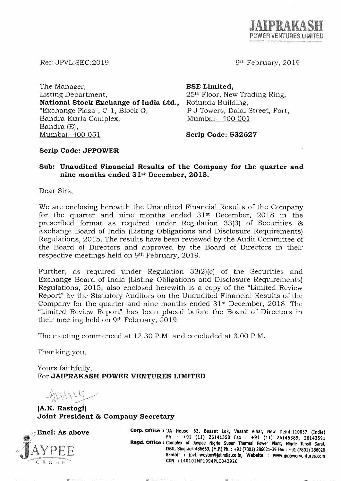

9th February, 2019

Ref: JPVL:SEC:2019

The Manager, Listing Department, National Stock Exchange of India Ltd., "Exchange Plaza", C-1, Block G, Bandra-Kurla Complex, Bandra (E), Mumbai -400 051 Scrip Code: 532627

BSE Limited, 25th Floor, New Trading Ring, Rotunda Building, P J Towers, Dalal Street, Fort, Mumbai - 400 001

## Scrip Code: JPPOWER

## Sub: Unaudited Financial Results of the Company for the quarter and nine months ended 31st December, 2018.

Dear Sirs,

We are enclosing herewith the Unaudited Financial Results of the Company for the quarter and nine months ended  $31<sup>st</sup>$  December, 2018 in the prescribed format as required under Regulation 33(3) of Securities & Exchange Board of India (Listing Obligations and Disclosure Requirements) Regulations, 2015. The results have been reviewed by the Audit Committee of the Board of Directors and approved by the Board of Directors in their respective meetings held on 9th February, 2019.

Further, as required under Regulation 33(2)(c) of the Securities and Exchange Board of India (Listing Obligations and Disclosure Requirements) Regulations, 2015, also enclosed herewith is a copy of the "Limited Review Report" by the Statutory Auditors on the Unaudited Financial Results of the Company for the quarter and nine months ended 31st December, 2018. The "Limited Review Report" has been placed before the Board of Directors in their meeting held on 9th February, 2019.

The meeting commenced at 12.30 P.M. and concluded at 3.00 P.M.

Thanking you,

Yours faithfully, For JAIPRAKASH POWER VENTURES LIMITED

 $\triangle W$ *, r""<'* 

(A.K. Rastogi) Joint President & Company Secretary



Encl: As above **Corp. Office:** 'JA House' 63, Basant Lok, Vasant Vihar, New Delhi-110057 (India) Ph. : +91 (11) 26141358 Fax: +91 (11) 26145389, 26143591 **Regd. Office:** Complex of Jaypee Nigrie Super Thermal Power Plant, Nigrie Tehsil Saral, Distt. Singrauli-486669, (M.P.) Ph. : +91 (7801) 286021-39 Fax: +91 (7801) 286020 **E-mail:** jpvl.lnvestor@jallndla.co.ln, **Website** : www.jppowerventures.com **elN** : l40101MP1994PlC042920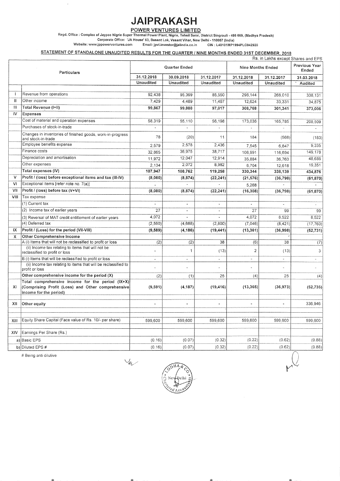# JAIPRAKASH

POWER VENTURES LIMITED.<br>Regd. Office : Complex of Jaypee Nigrie Super Thermal Power Plant, Nigrie, Tehsil Sarai, District Singrauli - 486 669, (Madhya Pradesh)

Corporate Office: 'JA House' 63, Basant Lok, Vasant Vihar, New Delhi -110057 (India) Website: www.jppowerventures.com Email: jpvl.investor@jalindia.co.in CIN: L40101MP1994PLC042920

#### STATEMENT OF STANDALONE UNAUDITED RESULTS FOR THE QUARTER / NINE MONTHS ENDED 31ST DECEMBER, 2018

|              |                                                                                      |                      |                          |                  |                          | .<br>Rs. in Lakhs except Shares and EPS |                        |
|--------------|--------------------------------------------------------------------------------------|----------------------|--------------------------|------------------|--------------------------|-----------------------------------------|------------------------|
| Particulars  |                                                                                      | <b>Quarter Ended</b> |                          |                  | <b>Nine Months Ended</b> |                                         | Previous Year<br>Ended |
|              |                                                                                      | 31.12.2018           | 30.09.2018               | 31.12.2017       | 31.12.2018               | 31.12.2017                              | 31.03.2018             |
|              |                                                                                      | <b>Unaudited</b>     | <b>Unaudited</b>         | <b>Unaudited</b> | Unaudited                | Unaudited                               | Audited                |
|              |                                                                                      |                      |                          |                  |                          |                                         |                        |
| $\mathbf{I}$ | Revenue from operations                                                              | 92,438               | 95,399                   | 85,550           | 296,144                  | 268.010                                 | 338,131                |
| $\mathbf{H}$ | Other income                                                                         | 7.429                | 4,489                    | 11,467           | 12,624                   | 33,331                                  | 34,875                 |
| $\mathbf{H}$ | Total Revenue (I+II)                                                                 | 99,867               | 99,888                   | 97,017           | 308,768                  | 301,341                                 | 373,006                |
| IV           | Expenses                                                                             |                      |                          |                  |                          |                                         |                        |
|              | Cost of material and operation expenses                                              | 58,319               | 55,110                   | 56,198           | 173,036                  | 165,785                                 | 208,509                |
|              | Purchases of stock-in-trade                                                          | ä,                   | $\omega$                 | L.               |                          |                                         |                        |
|              | Changes in inventories of finished goods, work-in-progress<br>and stock-in-trade     | 78                   | (20)                     | 11               | 184                      | (568)                                   | (183)                  |
|              | Employee benefits expense                                                            | 2,579                | 2,578                    | 2,436            | 7.545                    | 6,847                                   | 9.335                  |
|              | Finance costs                                                                        | 32,865               | 36,975                   | 38,717           | 106,991                  | 116,694                                 | 149,178                |
|              | Depreciation and amortisation                                                        | 11,972               | 12,047                   | 12,914           | 35,884                   | 36,763                                  | 48,686                 |
|              | Other expenses                                                                       | 2,134                | 2,072                    | 8,982            | 6,704                    | 12,618                                  | 19,351                 |
|              | Total expenses (IV)                                                                  | 107,947              | 108,762                  | 119,258          | 330,344                  | 338,139                                 | 434,876                |
| v            | Profit / (loss) before exceptional items and tax (III-IV)                            | (8,080)              | (8, 874)                 | (22, 241)        | (21, 576)                | (36, 798)                               | (61, 870)              |
| VI           | Exceptional items [refer note no. 7(a)]                                              |                      |                          |                  | 5,268                    |                                         |                        |
| VII          | Profit / (loss) before tax (V+VI)                                                    | (8,080)              | (8, 874)                 | (22, 241)        | (16, 308)                | (36, 798)                               | (61, 870)              |
| VIII         | Tax expense                                                                          |                      |                          |                  |                          |                                         |                        |
|              | (1) Current tax                                                                      |                      | $\overline{\phantom{a}}$ | $\overline{a}$   |                          |                                         |                        |
|              | (2) Income tax of earlier years                                                      | 27                   | $\blacksquare$           | $\blacksquare$   | 27                       | 99                                      | 99                     |
|              | (3) Reversal of MAT credit entitlement of earlier years                              | 4,072                |                          |                  | 4,072                    | 8.522                                   | 8.522                  |
|              | (4) Deferred tax                                                                     | (2, 590)             | (4,688)                  | (2,800)          | (7,046)                  | (8, 421)                                | (17, 760)              |
| IX           | Profit / (Loss) for the period (VII-VIII)                                            | (9,589)              | (4, 186)                 | (19, 441)        | (13, 361)                | (36, 998)                               | (52, 731)              |
| x            | <b>Other Comprehensive Income</b>                                                    |                      |                          |                  |                          |                                         |                        |
|              | A (i) Items that will not be reclassified to profit or loss                          | (2)                  | (2)                      | 38               | (6)                      | 38                                      | (7)                    |
|              | (ii) Income tax relating to items that will not be<br>reclassified to profit or loss |                      | 1                        | (13)             | $\overline{2}$           | (13)                                    | 3                      |
|              | B (i) Items that will be reclassified to profit or loss                              | $\ddot{\phantom{0}}$ | $\ddot{\phantom{1}}$     | $\blacksquare$   | $\blacksquare$           | $\sim$                                  | $\omega$               |
|              | (ii) Income tax relating to items that will be reclassified to<br>profit or loss     |                      |                          |                  |                          |                                         |                        |
|              | Other comprehensive income for the period (X)                                        | (2)                  | (1)                      | 25               | (4)                      | 25                                      | (4)                    |
|              | Total comprehensive income for the period (IX+X)                                     |                      |                          |                  |                          |                                         |                        |
| XI           | (Comprising Profit (Loss) and Other comprehensive<br>income for the period)          | (9,591)              | (4, 187)                 | (19, 416)        | (13, 365)                | (36, 973)                               | (52, 735)              |
|              |                                                                                      |                      |                          |                  |                          |                                         |                        |
| XII          | Other equity                                                                         |                      |                          |                  |                          |                                         | 336,946                |
|              |                                                                                      |                      |                          |                  |                          |                                         |                        |
|              |                                                                                      |                      |                          |                  |                          |                                         |                        |
| XIII         | Equity Share Capital (Face value of Rs. 10/- per share)                              | 599,600              | 599,600                  | 599,600          | 599,600                  | 599,600                                 | 599,600                |
| XIV          | Earnings Per Share (Rs.)                                                             |                      |                          |                  |                          |                                         |                        |
|              | a) Basic EPS                                                                         | (0.16)               | (0.07)                   | (0.32)           | (0.22)                   | (0.62)                                  | (0.88)                 |
|              | b) Diluted EPS #                                                                     | (0.16)               | (0.07)                   | (0.32)           | (0.22)                   | (0.62)                                  | (0.88)                 |

# Being anti dilutive

 $\frac{1}{2}$ 

鎏.

Ya

 $\gg$ 

潑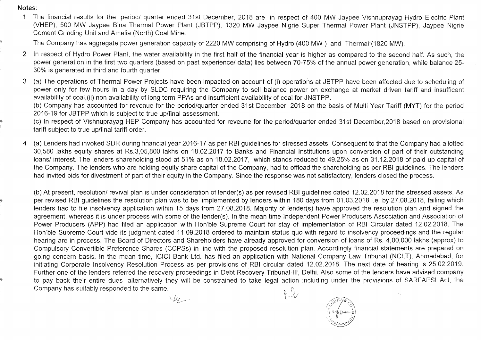Notes:

1 The financial results for the period/ quarter ended 31st December, 2018 are in respect of 400 MW Jaypee Vishnuprayag Hydro Electric Plant (VHEP), 500 MW Jaypee Bina Thermal Power Plant (JBTPP), 1320 MW Jaypee Nigrie Super Thermal Power Plant (JNSTPP), Jaypee Nigrie Cement Grinding Unit and Amelia (North) Coal Mine.

The Company has aggregate power generation capacity of 2220 MW comprising of Hydro (400 MW) and Thermal'(1820 MW).

- 2 In respect of Hydro Power Plant, the water availability in the first half of the financial year is higher as compared to the second half. As such, the power generation in the first two quarters (based on past experience/ data) lies between 70-75% of the annual power generation, while balance 25- 30% is generated in third and fourth quarter.
- 3 (a) The operations of Thermal Power Projects have been impacted on account of (i) operations at JBTPP have been affected due to scheduling of power only for few hours in a day by SLDC requiring the Company to sell balance power on exchange at market driven tariff and insufficent availability of coal,(ii) non availability of long term PPAs and insufficient availability of coal for JNSTPP.

(b) Company has accounted for revenue for the period/quarter ended 31st December, 2018 on the basis of Multi Year Tariff (MYT) for the period 2016-19 for JBTPP which is subject to true up/final assessment.

(c) In respect of Vishnuprayag HEP Company has accounted for reveune for the period/quarter ended 31st December,2018 based on provisional tariff subject to true up/final tariff order.

4 (a) Lenders had invoked SDR during financial year 2016-17 as per RBI guidelines for stressed assets. Consequent to that the Company had allotted 30,580 lakhs equity shares at Rs.3,05,800 lakhs on 18.02.2017 to Banks and Financial Institutions upon conversion of part of their outstanding loans/ interest. The lenders shareholding stood at 51% as on 18.02.2017, which stands reduced to 49.25% as on 31.12.2018 of paid up capital of the Company. The lenders who are holding equity share capital of the Company, had to offload the shareholding as per RBI guidelines. The lenders had invited bids for divestment of part of their equity in the Company. Since the response was not satisfactory, lenders closed the process.

(b) At present, resolution/ revival plan is under consideration of lender(s) as per revised RBI guidelines dated 12.02.2018 for the stressed assets. As per revised RBI guidelines the resolution plan was to be implemented by lenders within 180 days from 01.03.2018 i.e. by 27.08.2018, failing which lenders had to file insolvency application within 15 days from 27.08.2018. Majority of lender(s) have approved the resolution plan and signed the agreement, whereas it is under process with some of the lender(s). In the mean time Independent Power Producers Association and Association of Power Producers (APP) had filed an application with Hon'ble Supreme Court for stay of implementation of RBI Circular dated 12.02.2018. The Hon'ble Supreme Court vide its judgment dated 11.09.2018 ordered to maintain status quo with regard to insolvency proceedings and the regular hearing are in process. The Board of Directors and Shareholders have already approved for conversion of loans of Rs. 4,00,000 lakhs (approx) to Compulsory Convertible Preference Shares (CCPSs) in line with the proposed resolution plan. Accordingly financial statements are prepared on going concern basis. In the mean time, ICICI Bank Ltd. has filed an application with National Company Law Tribunal (NCLT), Ahmedabad, for initiating Corporate Insolvency Resolution Process as per provisions of RBI circular dated 12.02.2018. The next date of hearing is 25.02.2019. Further one of the lenders referred the recovery proceedings in Debt Recovery Tribunal-III, Delhi. Also some of the lenders have advised company to pay back their entire dues alternatively they will be constrained to take legal action including under the provisions of SARFAESI Act, the Company has suitably responded to the same. \\ (\ \ ..JLI

Yer.

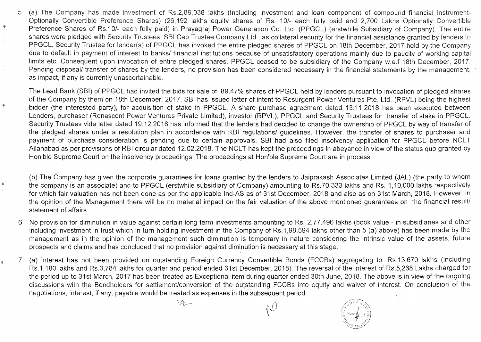5 (a) The Company has made investment of Rs.2,89,038 lakhs (Including investment and loan component of compound financial instrument-Optionally Convertible Preference Shares) (26,192 lakhs equity shares of Rs. 10/- each fully paid and 2,700 Lakhs Optionally Convertible Preference Shares of Rs.10/- each fully paid) in Prayagraj Power Generation Co. Ltd. (PPGCL) (erstwhile Subsidiary of Company). The entire shares were pledged with Security Trustees, SBI Cap Trustee Company Ltd., as collateral security for the financial assistance granted by lenders to PPGCL. Security Trustee for lender(s) of PPGCL has invoked the entire pledged shares of PPGCL on 18th December, 2017 held by the Company due to default in payment of interest to banks/ financial institutions because of unsatisfactory operations mainly due to paucity of working capital limits etc. Consequent upon invocation of entire pledged shares, PPGCL ceased to be subsidiary of the Company w.e.f 18th December, 2017. Pending disposal/ transfer of shares by the lenders, no provision has been considered necessary in the financial statements by the management, as impact, if any is currently unascertainable.

The Lead Bank (SBI) of PPGCL had invited the bids for sale of 89.47% shares of PPGCL held by lenders pursuant to invocation of pledged shares of the Company by them on 18th December, 2017. SBI has issued letter of intent to Resurgent Power Ventures Pte. Ltd. (RPVL) being the highest bidder (the interested party), for acquisition of stake in PPGCL. A share purchase agreement dated 13.11.2018 has been executed between Lenders, purchaser (Renascent Power Ventures Private Limited), investor (RPVL), PPGCL and Security Trustees for transfer of stake in PPGCL. Security Trustees vide letter dated 19.12.2018 has informed that the lenders had decided to change the ownership of PPGCL by way of transfer of the pledged shares under a resolution plan in accordence with RBI regulations/ guidelines. However, the transfer of shares to purchaser and payment of purchase consideration is pending due to certain approvals. SBI had also filed insolvency application for PPGCL before NCLT Allahabad as per provisions of RBI circular dated 12.02.2018. The NCLT has kept the proceedings in abeyance in view of the status quo granted by Hon'ble Supreme Court on the insolvency proceedings. The proceedings at Hon'ble Supreme Court are in process.

(b) The Company has given the corporate guarantees for loans granted by the lenders to Jaiprakash Associates Limited (JAL) (the party to whom the company is an associate) and to PPGCL (erstwhile subsidiary of Company) amounting to Rs.70,333 lakhs and Rs. 1,10,000 lakhs respectively for which fair valuation has not been done as per the applicable Ind-AS as of 31st December, 2018 and also as on 31st March, 2018. However, in the opinion of the Management there will be no material impact on the fair valuation of the above mentioned guarantees on the financial result/ statement of affairs.

- 6 No provision for diminution in value against certain long term investments amounting to Rs. 2,77,496 lakhs (book value in subsidiaries and other including investment in trust which in turn holding investment in the Company of Rs.1 ,98,594 lakhs other than 5 (a) above) has been made by the management as in the opinion of the management such diminution is temporary in nature considering the intrinsic value of the assets, future prospects and claims and has concluded that no provision against diminution is necessary at this stage.
- 7 (a) Interest has not been provided on outstanding Foreign Currency Convertible Bonds (FCCBs) aggregating to Rs.13,670 lakhs (including Rs.1, 180 lakhs and Rs.3, 784 lakhs for quarter and period ended 31st December, 2018). The reversal of the interest of Rs.5, 268 Lakhs charged for the period up to 31st March, 2017 has been treated as Exceptional item during quarter ended 30th June, 2018. The above is in view of the ongoing discussions with the Bondholders for settlement/conversion of the outstanding FCCBs into equity and waiver of interest. On conclusion of the negotiations, interest, if any, payable would be treated as expenses in the subsequent period.

 $44-$ 

'Ii

₩

 $\sim$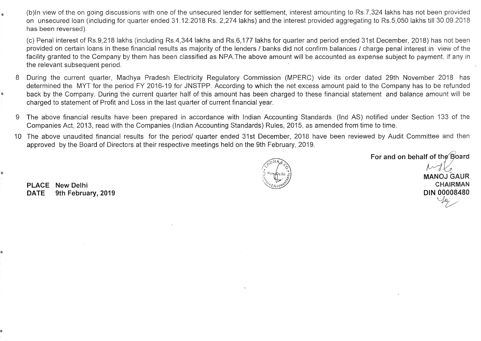(b)ln view of the on going discussions with one of the unsecured lender for settlement, interest amounting to RS.7,324 lakhs has not been provided on unsecured loan (including for quarter ended 31.12.2018 Rs. 2,274 lakhs) and the interest provided aggregating to RS.5,050 lakhs till 30.09.2018 has been reversed).

(c) Penal interest of Rs.9,218 lakhs (including Rs.4,344 lakhs and Rs.6,177 lakhs for quarter and period ended 31st December, 2018) has not been provided on certain loans in these financial results as majority of the lenders / banks did not confirm balances / charge penal interest in view of the facility granted to the Company by them has been classified as NPA.The above amount will be accounted as expense subject to payment, if any in the relevant subsequent period.

- 8 During the current quarter, Madhya Pradesh Electricity Regulatory Commission (MPERC) vide its order dated 29th November 2018 has determined the MYT for the period FY 2016-19 for JNSTPP. According to which the net excess amount paid to the Company has to be refunded back by the Company. During the current quarter half of this amount has been charged to these financial statement and balance amount will be charged to statement of Profit and Loss in the last quarter of current financial year.
- 9 The above financial results have been prepared in accordance with Indian Accounting Standards (Ind AS) notified under Section 133 of the Companies Act, 2013, read with the Companies (Indian Accounting Standards) Rules, 2015, as amended from time to time.
- 10 The above unaudited financial results for the period/ quarter ended 31st December, 2018 have been reviewed by Audit Committee and then approved by the Board of Directors at their respective meetings held on the 9th February, 2019.

 $\sqrt{\text{O}^{\text{DHA}}\text{O}}$  $\sum_{i=1}^{n}$  New pelhi  $\sum_{i=1}^{n}$  $\mathbb{Z}$   $\mathbb{C}$  ,  $\mathbb{Z}$  ,  $\mathbb{Z}$  $\chi$  ( $\chi$ ).  $\chi$ <sup>0</sup>)

For and on behalf of the Board MANOJ GAUR CHAIRMAN DIN 00008480

**PLACE** New Delhi **DATE** 9th February, 2019

II!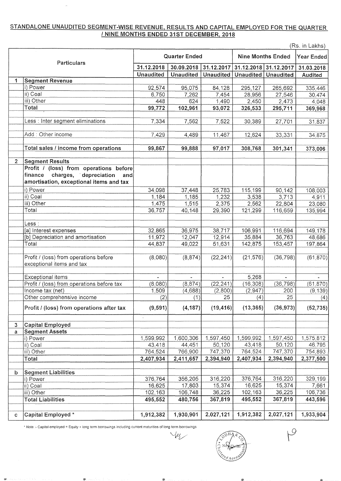## STANDALONE UNAUDITED SEGMENT-WISE REVENUE, RESULTS AND CAPITAL EMPLOYED FOR THE QUARTER I NINE MONTHS ENDED 31ST DECEMBER, 2018

(Rs in Lakhs)

| Particulars    |                                            | <b>Quarter Ended</b> |                       |                  | <b>Nine Months Ended</b> |           | (RS. III LAKIIS)<br><b>Year Ended</b> |
|----------------|--------------------------------------------|----------------------|-----------------------|------------------|--------------------------|-----------|---------------------------------------|
|                |                                            | 31.12.2018           | 30.09.2018 31.12.2017 |                  | 31.12.2018 31.12.2017    |           | 31.03.2018                            |
|                |                                            | <b>Unaudited</b>     | <b>Unaudited</b>      | <b>Unaudited</b> | Unaudited   Unaudited    |           | <b>Audited</b>                        |
| 1              | <b>Segment Revenue</b>                     |                      |                       |                  |                          |           |                                       |
|                | i) Power                                   | 92,574               | 95,075                | 84,128           | 295,127                  | 265,692   | 335,446                               |
|                | ii) Coal                                   | 6,750                | 7,262                 | 7,454            | 28,956                   | 27,546    | 30,474                                |
|                | iii) Other                                 | 448                  | 624                   | 1,490            | 2,450                    | 2,473     | 4,048                                 |
|                | Total                                      | 99,772               | 102,961               | 93,072           | 326,533                  | 295,711   | 369,968                               |
|                |                                            |                      |                       |                  |                          |           |                                       |
|                | Less : Inter segment eliminations          | 7,334                | 7,562                 | 7,522            | 30,389                   | 27,701    | 31,837                                |
|                |                                            |                      |                       |                  |                          |           |                                       |
|                | Add: Other income                          | 7,429                | 4,489                 | 11,467           | 12,624                   | 33,331    | 34,875                                |
|                |                                            |                      |                       |                  |                          |           |                                       |
|                | Total sales / income from operations       | 99,867               | 99,888                | 97,017           | 308,768                  | 301,341   | 373,006                               |
| 2 <sup>1</sup> | <b>Segment Results</b>                     |                      |                       |                  |                          |           |                                       |
|                | Profit / (loss) from operations before     |                      |                       |                  |                          |           |                                       |
|                | charges, depreciation<br>finance<br>and    |                      |                       |                  |                          |           |                                       |
|                | amortisation, exceptional items and tax    |                      |                       |                  |                          |           |                                       |
|                | i) Power                                   | 34.098               | 37,448                | 25,783           | 115,199                  | 90,142    | 108,003                               |
|                | ii) Coal                                   | 1,184                | 1,185                 | 1,232            | 3,538                    | 3,713     | 4,911                                 |
|                | iii) Other                                 | 1,475                | 1,515                 | 2,375            | 2,562                    | 22,804    | 23,080                                |
|                | Total                                      | 36,757               | 40,148                | 29,390           | 121,299                  | 116,659   | 135,994                               |
|                |                                            |                      |                       |                  |                          |           |                                       |
|                | Less :                                     |                      |                       |                  |                          |           |                                       |
|                | [a] Interest expenses                      | 32,865               | 36,975                | 38,717           | 106,991                  | 116,694   | 149,178                               |
|                | [b] Depreciation and amortisation          | 11,972               | 12,047                | 12,914           | 35,884                   | 36,763    | 48,686                                |
|                | Total                                      | 44,837               | 49,022                | 51,631           | 142,875                  | 153,457   | 197,864                               |
|                |                                            |                      |                       |                  |                          |           |                                       |
|                | Profit / (loss) from operations before     | (8,080)              | (8, 874)              | (22, 241)        | (21, 576)                | (36, 798) | (61, 870)                             |
|                | exceptional items and tax                  |                      |                       |                  |                          |           |                                       |
|                |                                            |                      |                       |                  |                          |           |                                       |
|                | Exceptional items                          | ù.                   | $\omega$              | $\blacksquare$   | 5,268                    | $\sim$    |                                       |
|                | Profit / (loss) from operations before tax | (8,080)              | (8, 874)              | (22, 241)        | (16, 308)                | (36, 798) | (61, 870)                             |
|                | Income tax (net)                           | 1,509                | (4,688)               | (2,800)          | (2, 947)                 | 200       | (9, 139)                              |
|                | Other comprehensive income                 | (2)                  | (1)                   | 25               | (4)                      | 25        | (4)                                   |
|                | Profit / (loss) from operations after tax  | (9, 591)             | (4, 187)              | (19, 416)        | (13, 365)                | (36, 973) | (52, 735)                             |
|                |                                            |                      |                       |                  |                          |           |                                       |
| $\mathbf{3}$   | <b>Capital Employed</b>                    |                      |                       |                  |                          |           |                                       |
| a              | <b>Segment Assets</b>                      |                      |                       |                  |                          |           |                                       |
|                | i) Power                                   | 1,599,992            | 1,600,306             | 1,597,450        | 1,599,992                | 1,597,450 | 1,575,812                             |
|                | ii) Coal                                   | 43,418               | 44,451                | 50,120           | 43,418                   | 50,120    | 46,795                                |
|                | iii) Other                                 | 764,524              | 766,900               | 747,370          | 764,524                  | 747,370   | 754,893                               |
|                | Total                                      | 2,407,934            | 2,411,657             | 2,394,940        | 2,407,934                | 2,394,940 | 2,377,500                             |
|                |                                            |                      |                       |                  |                          |           |                                       |
| b              | <b>Segment Liabilities</b>                 |                      |                       |                  |                          |           |                                       |
|                | i) Power                                   | 376,764              | 356,205               | 316,220          | 376,764                  | 316,220   | 329,199                               |
|                | ii) Coal                                   | 16,625               | 17,803                | 15,374           | 16,625                   | 15,374    | 7,661                                 |
|                | iii) Other                                 | 102,163              | 106,748               | 36,225           | 102,163                  | 36,225    | 106,736                               |
|                | <b>Total Liabilities</b>                   | 495,552              | 480,756               | 367,819          | 495,552                  | 367,819   | 443,596                               |
|                |                                            |                      |                       |                  |                          |           |                                       |
| c              | Capital Employed *                         | 1,912,382            | 1,930,901             | 2,027,121        | 1,912,382                | 2,027,121 | 1,933,904                             |

• Note- Capital employed = Equity + long term borrOWings including current maturities of long term borrowings

**By the control** 

 $P$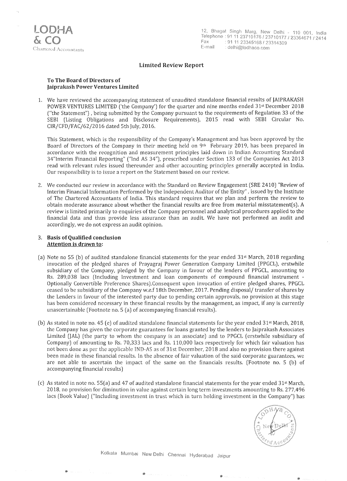

## **Limited Review Report**

### **To The Board** of Directors **of Jaiprakash Power Ventures Limited**

1. We have reviewed the accompanying statement of unaudited standalone financial results of jAIPRAKASH POWER VENTURES LIMITED ('the Company') for the quarter and nine months ended 31st December 2018 ("the Statement") . being submitted by the Company pursuant to the requirements of Regulation 33 of the SEBI (Listing Obligations and Disclosure Requirements). 2015 read with SEBI Circular No. CIR/CFD/FAC/62/2016 dated 5th July, 2016.

This Statement. which is the responsibility of the Company's Management and has been approved by the Board of Directors of the Company in their meeting held on 9th February 2019. has been prepared in accordance with the recognition and measurement principles laid down in Indian Accounting Standard 34"Interim Financial Reporting" ("Ind AS 34"), prescribed under Section 133 of the Companies Act 2013 read with relevant rules issued thereunder and other accounting principles generally accepted in India. Our responsibility is to issue a report on the Statement based on our review.

2. We conducted our review in accordance with the Standard on Review Engagement (SRE 2410) "Review of Interim Financial Information Performed by the Independent Auditor of the Entity" . issued by the Institute of The Chartered Accountants of India. This standard requires that we plan and perform the review to obtain moderate assurance about whether the financial results are free from material misstatement(s). A review is limited primarily to enquiries of the Company personnel and analytical procedures applied to the financial data and thus provide less assurance than an audit. We have not performed an audit and accordingly. we do not express an audit opinion.

### 3. **Basis of Qualified conclusion Attention is drawn to:**

- (a) Note no 55 (b) of audited standalone financial statements for the year ended 31st March. 2018 regarding invocation of the pledged shares of Prayagraj Power Generation Company Limited (PPGCL). erstwhile subsidiary of the Company, pledged by the Company in favour of the lenders of PPGCL, amounting to Rs. 289.038 lacs (Including Investment and loan components of compound financial instrument - Optionally Convertible Preference Shares).Consequent upon invocation of entire pledged shares. PPGCL ceased to be subsidiary of the Company w.e.f 18th December, 2017. Pending disposal/ transfer of shares by the Lenders in favour of the interested party due to pending certain approvals. no provision at this stage has been considered necessary in these financial results by the management, as impact, if any is currently unascertainable (Footnote no. 5 (a) of accompanying financial results).
- (b) As stated in note no. 45 (e) of audited standalone financial statements for the year ended  $31^{st}$  March, 2018, the Company has given the corporate guarantees for loans granted by the lenders to )aiprakash Associates Limited (JAL) (the party to whom the company is an associate) and to PPGCL (erstwhile subsidiary of Company) of amounting to Rs. 70.333 lacs and Rs. 110.000 lacs respectively for which fair valuation has not been done as per the applicable IND-AS as of 31st December. 2018 and also no provision there against been made in these financial results. In the absence of fair valuation of the said corporate guarantees. we are not able to ascertain the impact of the same on the financials results. (Footnote no. 5 (b) of accompanying financial results)
- (c) As stated in note no. 55(a) and 47 of audited standalone financial statements for the year ended  $31st$  March, 2018. no provision for diminution in value against certain long term investments amounting to Rs. 277.496 lacs (Book Value) ("Including investment in trust which in turn holding investment in the Company") has



Kolkata Mumbai New Delhi Chennai Hyderabad Jaipur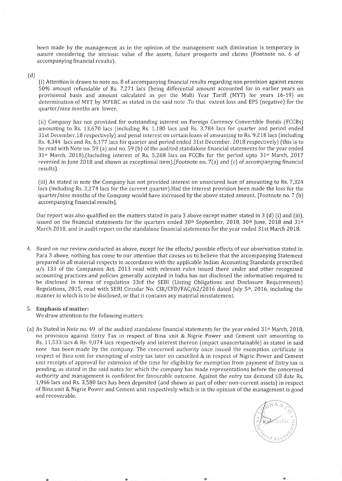been made by the management as in the opinion of the management such diminution is temporary in nature considering the intrinsic value of the assets, future prospects and claims (Footnote no. 6 of accompanying financial results).

 $(d)$ 

(i) Attention is drawn to note no. 8 of accompanying financial results regarding non provision against excess 50% amount refundable of Rs. 7,271 lacs (being differential amount accounted for in earlier years on provisional basis and amount calculated as per the Multi Year Tariff (MYT) for years 16-19) on determination of MYT by MPERC as stated in the said note .To that extent loss and EPS (negative) for the quarter/nine months are lower.

(ii) Company has not provided for outstanding interest on Foreign Currency Convertible Bonds (FCCBs) amounting to Rs. 13,670 lacs (including Rs. 1, 180 lacs and Rs. 3,784 lacs for quarter and period ended 31st December,18 respectively) and penal interest on certain loans of amounting to Rs. 9,218 lacs (including Rs.4,344 lacs and Rs. 6,177 lacs for quarter and period ended 31st December, 2018 respectively) (this is to be read with Note no. 59 (a) and no. 59 (b) of the audited standalone financial statements for the year ended 31st March, 2018).(Including interest of Rs. 5,268 lacs on FCCBs for the period upto 31st March, 2017 reversed in June 2018 and shown as exceptional item).[Footnote no. 7(a) and (c) of accompanying financial results ).

(iii) As stated in note the Company has not provided interest on unsecured loan of amounting to Rs. 7,324 lacs (including Rs. 2,274 lacs for the current quarter).Had the interest provision been made the loss for the quarter/nine months of the Company would have increased by the above stated amount. [Footnote no. 7 (b) accompanying financial results].

Our report was also qualified on the matters stated in para 3 above except matter stated in  $3$  (d) (i) and (iii), issued on the financial statements for the quarters ended 30<sup>th</sup> September, 2018, 30<sup>th</sup> June, 2018 and 31<sup>st</sup> March 2018, and in audit report on the standalone financial statements for the year ended 31st March 2018.

4. Based on our review conducted as above, except for the effects/ possible effects of our observation stated in Para 3 above, nothing has come to our attention that causes us to believe that the accompanying Statement prepared in all material respects in accordance with the applicable Indian Accounting Standards prescribed u/s 133 of the Companies Act, 2013 read with relevant rules issued there under and other recognised accounting practices and policies generally accepted in India has not disclosed the information required to be disclosed in terms of regulation 330f the SEBI (Listing Obligations and Disclosure Requirements) Regulations, 2015, read with SEBI Circular No. CIR/CFD/FAC/62/2016 dated July 5th, 2016, including the manner in which is to be disclosed, or that it contains any material misstatement.

## 5. Emphasis of matter:

We draw attention to the following matters:

(a) As Stated in Note no. 49 of the audited standalone financial statements for the year ended 31st March, 2018, no provision against Entry Tax in respect of Bina unit & Nigrie Power and Cement unit amounting to Rs. 11,533 lacs & Rs. 9,074 lacs respectively and interest thereon (impact unascertainable) as stated in said note has been made by the company. The concerned authority once issued the exemption certificate in respect of Bina unit for exempting of entry tax later on cancelled & in respect of Nigrie Power and Cement unit receipts of approval for extension of the time for eligibility for exemption from payment of Entry tax is pending, as stated in the said notes for which the company has made representations before the concerned authority and management is confident for favourable outcome. Against the entry tax demand till date Rs. 1,946 lacs and Rs. 3,580 lacs has been deposited (and shown as part of other non-current assets) in respect of Bina unit & Nigrie Power and Cement unit respectively which is in the opinion of the management is good and recoverable.